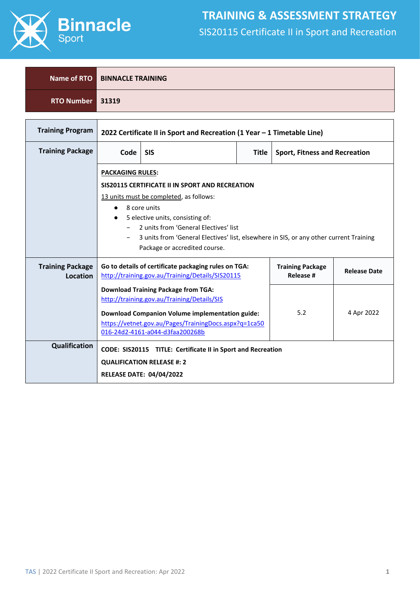

٦

Г

### **TRAINING & ASSESSMENT STRATEGY** SIS20115 Certificate II in Sport and Recreation

|                  | Name of RTO BINNACLE TRAINING |
|------------------|-------------------------------|
| RTO Number 31319 |                               |

| <b>Training Program</b>                    | 2022 Certificate II in Sport and Recreation (1 Year - 1 Timetable Line)                                                                                 |                                                                                          |              |                                      |            |  |  |
|--------------------------------------------|---------------------------------------------------------------------------------------------------------------------------------------------------------|------------------------------------------------------------------------------------------|--------------|--------------------------------------|------------|--|--|
| <b>Training Package</b>                    | Code                                                                                                                                                    | <b>SIS</b>                                                                               | <b>Title</b> | <b>Sport, Fitness and Recreation</b> |            |  |  |
|                                            | <b>PACKAGING RULES:</b>                                                                                                                                 |                                                                                          |              |                                      |            |  |  |
|                                            |                                                                                                                                                         | SIS20115 CERTIFICATE II IN SPORT AND RECREATION                                          |              |                                      |            |  |  |
|                                            |                                                                                                                                                         | 13 units must be completed, as follows:                                                  |              |                                      |            |  |  |
|                                            | $\bullet$                                                                                                                                               | 8 core units                                                                             |              |                                      |            |  |  |
|                                            |                                                                                                                                                         | 5 elective units, consisting of:<br>$\bullet$<br>2 units from 'General Electives' list   |              |                                      |            |  |  |
|                                            | 3 units from 'General Electives' list, elsewhere in SIS, or any other current Training                                                                  |                                                                                          |              |                                      |            |  |  |
|                                            |                                                                                                                                                         | Package or accredited course.                                                            |              |                                      |            |  |  |
| <b>Training Package</b><br><b>Location</b> | Go to details of certificate packaging rules on TGA:<br><b>Training Package</b><br><b>Release #</b><br>http://training.gov.au/Training/Details/SIS20115 |                                                                                          |              | <b>Release Date</b>                  |            |  |  |
|                                            |                                                                                                                                                         | <b>Download Training Package from TGA:</b>                                               |              |                                      |            |  |  |
|                                            |                                                                                                                                                         | http://training.gov.au/Training/Details/SIS                                              |              |                                      |            |  |  |
|                                            |                                                                                                                                                         | <b>Download Companion Volume implementation guide:</b>                                   |              | 5.2                                  | 4 Apr 2022 |  |  |
|                                            |                                                                                                                                                         | https://vetnet.gov.au/Pages/TrainingDocs.aspx?q=1ca50<br>016-24d2-4161-a044-d3faa200268b |              |                                      |            |  |  |
| Qualification                              | CODE: SIS20115 TITLE: Certificate II in Sport and Recreation                                                                                            |                                                                                          |              |                                      |            |  |  |
|                                            | <b>QUALIFICATION RELEASE #: 2</b>                                                                                                                       |                                                                                          |              |                                      |            |  |  |
|                                            |                                                                                                                                                         | <b>RELEASE DATE: 04/04/2022</b>                                                          |              |                                      |            |  |  |

┑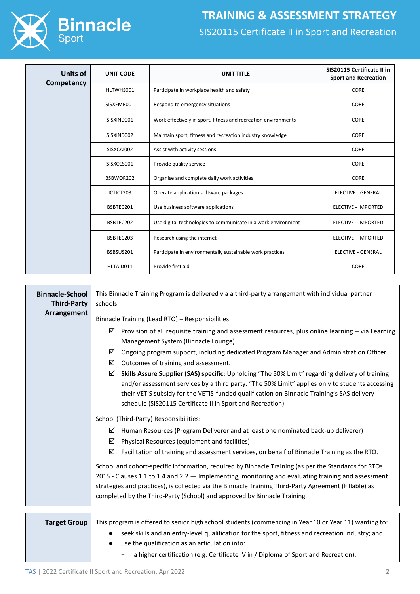

| Units of   | <b>UNIT CODE</b> | <b>UNIT TITLE</b>                                              | SIS20115 Certificate II in<br><b>Sport and Recreation</b> |  |
|------------|------------------|----------------------------------------------------------------|-----------------------------------------------------------|--|
| Competency | HLTWHS001        | Participate in workplace health and safety                     | CORE                                                      |  |
|            | SISXEMR001       | Respond to emergency situations                                | CORE                                                      |  |
|            | SISXIND001       | Work effectively in sport, fitness and recreation environments | <b>CORE</b>                                               |  |
|            | SISXIND002       | Maintain sport, fitness and recreation industry knowledge      | CORE                                                      |  |
|            | SISXCAI002       | Assist with activity sessions                                  | CORE                                                      |  |
|            | SISXCCS001       | Provide quality service                                        | CORE                                                      |  |
|            | BSBWOR202        | Organise and complete daily work activities                    | <b>CORE</b>                                               |  |
|            | ICTICT203        | Operate application software packages                          | <b>ELECTIVE - GENERAL</b>                                 |  |
|            | BSBTEC201        | Use business software applications                             | <b>ELECTIVE - IMPORTED</b>                                |  |
|            | BSBTEC202        | Use digital technologies to communicate in a work environment  | <b>ELECTIVE - IMPORTED</b>                                |  |
|            | BSBTEC203        | Research using the internet                                    | <b>ELECTIVE - IMPORTED</b>                                |  |
|            | BSBSUS201        | Participate in environmentally sustainable work practices      | <b>ELECTIVE - GENERAL</b>                                 |  |
|            | HLTAID011        | Provide first aid                                              | <b>CORE</b>                                               |  |

| <b>Binnacle-School</b><br><b>Third-Party</b> | This Binnacle Training Program is delivered via a third-party arrangement with individual partner<br>schools.                                                                                                                                                                                                                                                        |  |  |  |  |
|----------------------------------------------|----------------------------------------------------------------------------------------------------------------------------------------------------------------------------------------------------------------------------------------------------------------------------------------------------------------------------------------------------------------------|--|--|--|--|
| Arrangement                                  | Binnacle Training (Lead RTO) - Responsibilities:                                                                                                                                                                                                                                                                                                                     |  |  |  |  |
|                                              | Provision of all requisite training and assessment resources, plus online learning - via Learning<br>☑<br>Management System (Binnacle Lounge).                                                                                                                                                                                                                       |  |  |  |  |
|                                              | Ongoing program support, including dedicated Program Manager and Administration Officer.<br>☑<br>Outcomes of training and assessment.<br>☑                                                                                                                                                                                                                           |  |  |  |  |
|                                              | Skills Assure Supplier (SAS) specific: Upholding "The 50% Limit" regarding delivery of training<br>☑<br>and/or assessment services by a third party. "The 50% Limit" applies only to students accessing<br>their VETIS subsidy for the VETIS-funded qualification on Binnacle Training's SAS delivery<br>schedule (SIS20115 Certificate II in Sport and Recreation). |  |  |  |  |
|                                              | School (Third-Party) Responsibilities:                                                                                                                                                                                                                                                                                                                               |  |  |  |  |
|                                              | Human Resources (Program Deliverer and at least one nominated back-up deliverer)<br>☑                                                                                                                                                                                                                                                                                |  |  |  |  |
|                                              | Physical Resources (equipment and facilities)<br>☑                                                                                                                                                                                                                                                                                                                   |  |  |  |  |
|                                              | ☑<br>Facilitation of training and assessment services, on behalf of Binnacle Training as the RTO.                                                                                                                                                                                                                                                                    |  |  |  |  |
|                                              | School and cohort-specific information, required by Binnacle Training (as per the Standards for RTOs                                                                                                                                                                                                                                                                 |  |  |  |  |
|                                              | 2015 - Clauses 1.1 to 1.4 and 2.2 - Implementing, monitoring and evaluating training and assessment<br>strategies and practices), is collected via the Binnacle Training Third-Party Agreement (Fillable) as                                                                                                                                                         |  |  |  |  |
|                                              | completed by the Third-Party (School) and approved by Binnacle Training.                                                                                                                                                                                                                                                                                             |  |  |  |  |
|                                              |                                                                                                                                                                                                                                                                                                                                                                      |  |  |  |  |
| <b>Target Group</b>                          | This program is offered to senior high school students (commencing in Year 10 or Year 11) wanting to:<br>seek skills and an entry-level qualification for the sport, fitness and recreation industry; and<br>$\bullet$<br>use the qualification as an articulation into:                                                                                             |  |  |  |  |

− a higher certification (e.g. Certificate IV in / Diploma of Sport and Recreation);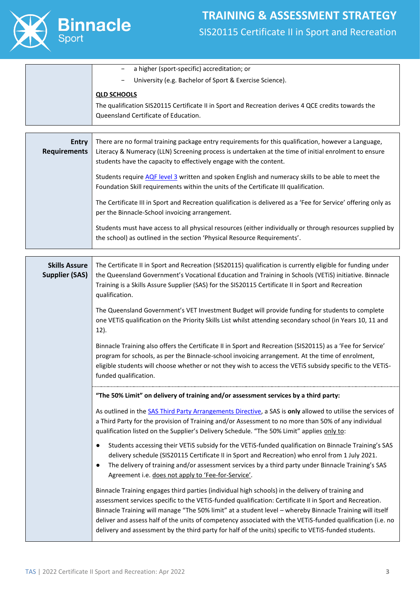

| a higher (sport-specific) accreditation; or<br>University (e.g. Bachelor of Sport & Exercise Science).                                                            |
|-------------------------------------------------------------------------------------------------------------------------------------------------------------------|
| <b>QLD SCHOOLS</b><br>The qualification SIS20115 Certificate II in Sport and Recreation derives 4 QCE credits towards the<br>Queensland Certificate of Education. |

| Entry<br><b>Requirements</b> | There are no formal training package entry requirements for this qualification, however a Language,<br>Literacy & Numeracy (LLN) Screening process is undertaken at the time of initial enrolment to ensure<br>students have the capacity to effectively engage with the content. |
|------------------------------|-----------------------------------------------------------------------------------------------------------------------------------------------------------------------------------------------------------------------------------------------------------------------------------|
|                              | Students require AQF level 3 written and spoken English and numeracy skills to be able to meet the<br>Foundation Skill requirements within the units of the Certificate III qualification.                                                                                        |
|                              | The Certificate III in Sport and Recreation qualification is delivered as a 'Fee for Service' offering only as<br>per the Binnacle-School invoicing arrangement.                                                                                                                  |
|                              | Students must have access to all physical resources (either individually or through resources supplied by<br>the school) as outlined in the section 'Physical Resource Requirements'.                                                                                             |

| <b>Skills Assure</b><br><b>Supplier (SAS)</b> | The Certificate II in Sport and Recreation (SIS20115) qualification is currently eligible for funding under<br>the Queensland Government's Vocational Education and Training in Schools (VETiS) initiative. Binnacle<br>Training is a Skills Assure Supplier (SAS) for the SIS20115 Certificate II in Sport and Recreation<br>qualification.                                                                                                                                                                                                   |  |  |  |
|-----------------------------------------------|------------------------------------------------------------------------------------------------------------------------------------------------------------------------------------------------------------------------------------------------------------------------------------------------------------------------------------------------------------------------------------------------------------------------------------------------------------------------------------------------------------------------------------------------|--|--|--|
|                                               | The Queensland Government's VET Investment Budget will provide funding for students to complete<br>one VETiS qualification on the Priority Skills List whilst attending secondary school (in Years 10, 11 and<br>$12$ ).                                                                                                                                                                                                                                                                                                                       |  |  |  |
|                                               | Binnacle Training also offers the Certificate II in Sport and Recreation (SIS20115) as a 'Fee for Service'<br>program for schools, as per the Binnacle-school invoicing arrangement. At the time of enrolment,<br>eligible students will choose whether or not they wish to access the VETiS subsidy specific to the VETiS-<br>funded qualification.                                                                                                                                                                                           |  |  |  |
|                                               | "The 50% Limit" on delivery of training and/or assessment services by a third party:                                                                                                                                                                                                                                                                                                                                                                                                                                                           |  |  |  |
|                                               | As outlined in the SAS Third Party Arrangements Directive, a SAS is only allowed to utilise the services of<br>a Third Party for the provision of Training and/or Assessment to no more than 50% of any individual<br>qualification listed on the Supplier's Delivery Schedule. "The 50% Limit" applies only to:                                                                                                                                                                                                                               |  |  |  |
|                                               | Students accessing their VETiS subsidy for the VETiS-funded qualification on Binnacle Training's SAS<br>$\bullet$<br>delivery schedule (SIS20115 Certificate II in Sport and Recreation) who enrol from 1 July 2021.<br>The delivery of training and/or assessment services by a third party under Binnacle Training's SAS<br>$\bullet$<br>Agreement i.e. does not apply to 'Fee-for-Service'.                                                                                                                                                 |  |  |  |
|                                               | Binnacle Training engages third parties (individual high schools) in the delivery of training and<br>assessment services specific to the VETiS-funded qualification: Certificate II in Sport and Recreation.<br>Binnacle Training will manage "The 50% limit" at a student level - whereby Binnacle Training will itself<br>deliver and assess half of the units of competency associated with the VETiS-funded qualification (i.e. no<br>delivery and assessment by the third party for half of the units) specific to VETIS-funded students. |  |  |  |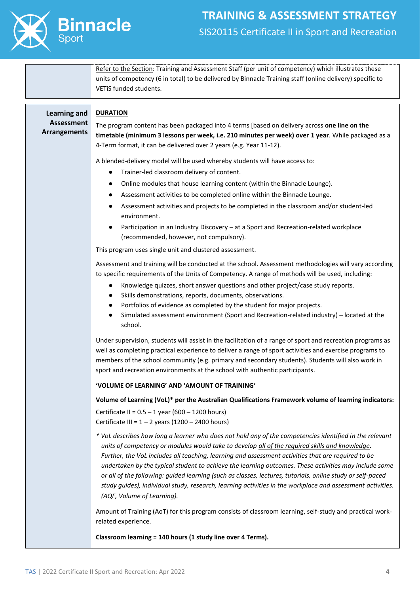

Refer to the Section: Training and Assessment Staff (per unit of competency) which illustrates these units of competency (6 in total) to be delivered by Binnacle Training staff (online delivery) specific to VETiS funded students.

| <b>Learning and</b><br><b>Assessment</b><br><b>Arrangements</b> | <b>DURATION</b><br>The program content has been packaged into 4 terms [based on delivery across one line on the<br>timetable (minimum 3 lessons per week, i.e. 210 minutes per week) over 1 year. While packaged as a<br>4-Term format, it can be delivered over 2 years (e.g. Year 11-12).                                                                                                                                                                                                                                                                                                                                                                                        |
|-----------------------------------------------------------------|------------------------------------------------------------------------------------------------------------------------------------------------------------------------------------------------------------------------------------------------------------------------------------------------------------------------------------------------------------------------------------------------------------------------------------------------------------------------------------------------------------------------------------------------------------------------------------------------------------------------------------------------------------------------------------|
|                                                                 | A blended-delivery model will be used whereby students will have access to:<br>Trainer-led classroom delivery of content.<br>$\bullet$<br>Online modules that house learning content (within the Binnacle Lounge).<br>$\bullet$<br>Assessment activities to be completed online within the Binnacle Lounge.<br>Assessment activities and projects to be completed in the classroom and/or student-led<br>environment.<br>Participation in an Industry Discovery - at a Sport and Recreation-related workplace<br>(recommended, however, not compulsory).<br>This program uses single unit and clustered assessment.                                                                |
|                                                                 | Assessment and training will be conducted at the school. Assessment methodologies will vary according<br>to specific requirements of the Units of Competency. A range of methods will be used, including:<br>Knowledge quizzes, short answer questions and other project/case study reports.<br>$\bullet$<br>Skills demonstrations, reports, documents, observations.<br>Portfolios of evidence as completed by the student for major projects.<br>$\bullet$<br>Simulated assessment environment (Sport and Recreation-related industry) - located at the<br>school.                                                                                                               |
|                                                                 | Under supervision, students will assist in the facilitation of a range of sport and recreation programs as<br>well as completing practical experience to deliver a range of sport activities and exercise programs to<br>members of the school community (e.g. primary and secondary students). Students will also work in<br>sport and recreation environments at the school with authentic participants.                                                                                                                                                                                                                                                                         |
|                                                                 | 'VOLUME OF LEARNING' AND 'AMOUNT OF TRAINING'                                                                                                                                                                                                                                                                                                                                                                                                                                                                                                                                                                                                                                      |
|                                                                 | Volume of Learning (VoL)* per the Australian Qualifications Framework volume of learning indicators:<br>Certificate II = $0.5 - 1$ year (600 - 1200 hours)<br>Certificate III = $1 - 2$ years (1200 - 2400 hours)                                                                                                                                                                                                                                                                                                                                                                                                                                                                  |
|                                                                 | * VoL describes how long a learner who does not hold any of the competencies identified in the relevant<br>units of competency or modules would take to develop all of the required skills and knowledge.<br>Further, the VoL includes all teaching, learning and assessment activities that are required to be<br>undertaken by the typical student to achieve the learning outcomes. These activities may include some<br>or all of the following: guided learning (such as classes, lectures, tutorials, online study or self-paced<br>study guides), individual study, research, learning activities in the workplace and assessment activities.<br>(AQF, Volume of Learning). |
|                                                                 | Amount of Training (AoT) for this program consists of classroom learning, self-study and practical work-<br>related experience.                                                                                                                                                                                                                                                                                                                                                                                                                                                                                                                                                    |
|                                                                 | Classroom learning = 140 hours (1 study line over 4 Terms).                                                                                                                                                                                                                                                                                                                                                                                                                                                                                                                                                                                                                        |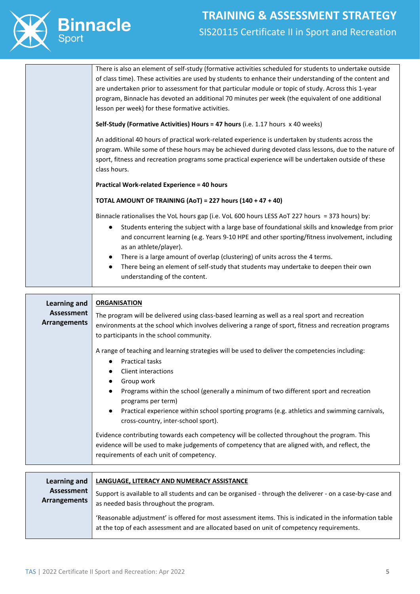

There is also an element of self-study (formative activities scheduled for students to undertake outside of class time). These activities are used by students to enhance their understanding of the content and are undertaken prior to assessment for that particular module or topic of study. Across this 1-year program, Binnacle has devoted an additional 70 minutes per week (the equivalent of one additional lesson per week) for these formative activities.

**Self-Study (Formative Activities) Hours = 47 hours** (i.e. 1.17 hours x 40 weeks)

An additional 40 hours of practical work-related experience is undertaken by students across the program. While some of these hours may be achieved during devoted class lessons, due to the nature of sport, fitness and recreation programs some practical experience will be undertaken outside of these class hours.

**Practical Work-related Experience = 40 hours**

#### **TOTAL AMOUNT OF TRAINING (AoT) = 227 hours (140 + 47 + 40)**

Binnacle rationalises the VoL hours gap (i.e. VoL 600 hours LESS AoT 227 hours = 373 hours) by:

- Students entering the subject with a large base of foundational skills and knowledge from prior and concurrent learning (e.g. Years 9-10 HPE and other sporting/fitness involvement, including as an athlete/player).
- There is a large amount of overlap (clustering) of units across the 4 terms.
- There being an element of self-study that students may undertake to deepen their own understanding of the content.

**Learning and Assessment Arrangements ORGANISATION** The program will be delivered using class-based learning as well as a real sport and recreation environments at the school which involves delivering a range of sport, fitness and recreation programs to participants in the school community. A range of teaching and learning strategies will be used to deliver the competencies including: ● Practical tasks **Client interactions** ● Group work ● Programs within the school (generally a minimum of two different sport and recreation programs per term) ● Practical experience within school sporting programs (e.g. athletics and swimming carnivals, cross-country, inter-school sport). Evidence contributing towards each competency will be collected throughout the program. This evidence will be used to make judgements of competency that are aligned with, and reflect, the requirements of each unit of competency. **Learning and LANGUAGE, LITERACY AND NUMERACY ASSISTANCE**

| Learning and               | LANGUAGE, LITERACY AND NUMERACY ASSISTANCE                                                                                                                                                            |
|----------------------------|-------------------------------------------------------------------------------------------------------------------------------------------------------------------------------------------------------|
| Assessment<br>Arrangements | Support is available to all students and can be organised - through the deliverer - on a case-by-case and<br>as needed basis throughout the program.                                                  |
|                            | 'Reasonable adjustment' is offered for most assessment items. This is indicated in the information table<br>at the top of each assessment and are allocated based on unit of competency requirements. |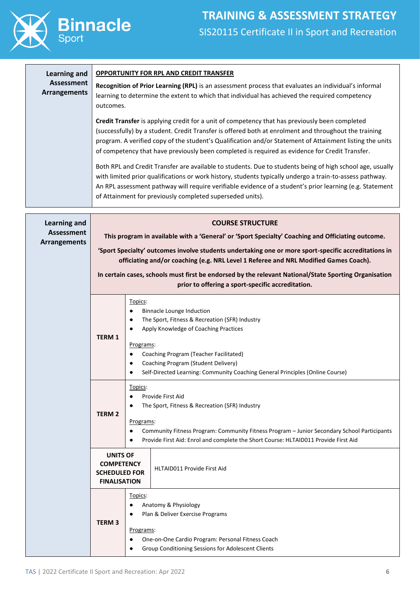

| <b>Learning and</b>                      | <b>OPPORTUNITY FOR RPL AND CREDIT TRANSFER</b>                                                                                                                                                                                                                                                                                                                                                                        |                                                                                                                                                                                                                                                                                                                                                                                                |  |  |  |  |  |  |
|------------------------------------------|-----------------------------------------------------------------------------------------------------------------------------------------------------------------------------------------------------------------------------------------------------------------------------------------------------------------------------------------------------------------------------------------------------------------------|------------------------------------------------------------------------------------------------------------------------------------------------------------------------------------------------------------------------------------------------------------------------------------------------------------------------------------------------------------------------------------------------|--|--|--|--|--|--|
| <b>Assessment</b><br><b>Arrangements</b> | Recognition of Prior Learning (RPL) is an assessment process that evaluates an individual's informal<br>learning to determine the extent to which that individual has achieved the required competency<br>outcomes.                                                                                                                                                                                                   |                                                                                                                                                                                                                                                                                                                                                                                                |  |  |  |  |  |  |
|                                          | Credit Transfer is applying credit for a unit of competency that has previously been completed<br>(successfully) by a student. Credit Transfer is offered both at enrolment and throughout the training<br>program. A verified copy of the student's Qualification and/or Statement of Attainment listing the units<br>of competency that have previously been completed is required as evidence for Credit Transfer. |                                                                                                                                                                                                                                                                                                                                                                                                |  |  |  |  |  |  |
|                                          |                                                                                                                                                                                                                                                                                                                                                                                                                       | Both RPL and Credit Transfer are available to students. Due to students being of high school age, usually<br>with limited prior qualifications or work history, students typically undergo a train-to-assess pathway.<br>An RPL assessment pathway will require verifiable evidence of a student's prior learning (e.g. Statement<br>of Attainment for previously completed superseded units). |  |  |  |  |  |  |
| <b>Learning and</b>                      |                                                                                                                                                                                                                                                                                                                                                                                                                       | <b>COURSE STRUCTURE</b>                                                                                                                                                                                                                                                                                                                                                                        |  |  |  |  |  |  |
| <b>Assessment</b><br><b>Arrangements</b> |                                                                                                                                                                                                                                                                                                                                                                                                                       | This program in available with a 'General' or 'Sport Specialty' Coaching and Officiating outcome.<br>'Sport Specialty' outcomes involve students undertaking one or more sport-specific accreditations in<br>officiating and/or coaching (e.g. NRL Level 1 Referee and NRL Modified Games Coach).                                                                                              |  |  |  |  |  |  |
|                                          | In certain cases, schools must first be endorsed by the relevant National/State Sporting Organisation<br>prior to offering a sport-specific accreditation.                                                                                                                                                                                                                                                            |                                                                                                                                                                                                                                                                                                                                                                                                |  |  |  |  |  |  |
|                                          | Topics:<br>$\bullet$<br><b>TERM1</b><br>$\bullet$<br>$\bullet$                                                                                                                                                                                                                                                                                                                                                        | <b>Binnacle Lounge Induction</b><br>The Sport, Fitness & Recreation (SFR) Industry<br>Apply Knowledge of Coaching Practices<br>Programs:<br>Coaching Program (Teacher Facilitated)<br>Coaching Program (Student Delivery)<br>Self-Directed Learning: Community Coaching General Principles (Online Course)                                                                                     |  |  |  |  |  |  |
|                                          | Topics:<br>$\bullet$<br><b>TERM 2</b><br>$\bullet$                                                                                                                                                                                                                                                                                                                                                                    | Provide First Aid<br>The Sport, Fitness & Recreation (SFR) Industry<br>Programs:<br>Community Fitness Program: Community Fitness Program - Junior Secondary School Participants<br>Provide First Aid: Enrol and complete the Short Course: HLTAID011 Provide First Aid                                                                                                                         |  |  |  |  |  |  |
|                                          | <b>UNITS OF</b><br><b>COMPETENCY</b><br><b>SCHEDULED FOR</b><br><b>FINALISATION</b>                                                                                                                                                                                                                                                                                                                                   | HLTAID011 Provide First Aid                                                                                                                                                                                                                                                                                                                                                                    |  |  |  |  |  |  |
|                                          | Topics:<br><b>TERM3</b>                                                                                                                                                                                                                                                                                                                                                                                               | Anatomy & Physiology<br>Plan & Deliver Exercise Programs<br>Programs:<br>One-on-One Cardio Program: Personal Fitness Coach<br>Group Conditioning Sessions for Adolescent Clients                                                                                                                                                                                                               |  |  |  |  |  |  |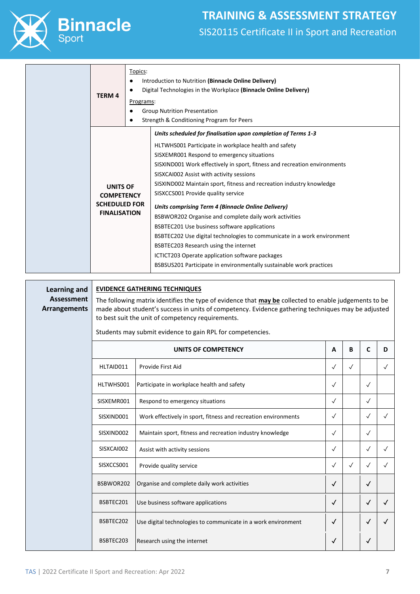

| Topics:<br>٠<br><b>TERM 4</b>                                                       | Introduction to Nutrition (Binnacle Online Delivery)<br>Digital Technologies in the Workplace (Binnacle Online Delivery)<br>Programs:<br><b>Group Nutrition Presentation</b><br>Strength & Conditioning Program for Peers                                                                                                                                                                                                                                                                                                                                                                                                                                                                                                                                                                                               |
|-------------------------------------------------------------------------------------|-------------------------------------------------------------------------------------------------------------------------------------------------------------------------------------------------------------------------------------------------------------------------------------------------------------------------------------------------------------------------------------------------------------------------------------------------------------------------------------------------------------------------------------------------------------------------------------------------------------------------------------------------------------------------------------------------------------------------------------------------------------------------------------------------------------------------|
| <b>UNITS OF</b><br><b>COMPETENCY</b><br><b>SCHEDULED FOR</b><br><b>FINALISATION</b> | Units scheduled for finalisation upon completion of Terms 1-3<br>HLTWHS001 Participate in workplace health and safety<br>SISXEMR001 Respond to emergency situations<br>SISXIND001 Work effectively in sport, fitness and recreation environments<br>SISXCAI002 Assist with activity sessions<br>SISXIND002 Maintain sport, fitness and recreation industry knowledge<br>SISXCCS001 Provide quality service<br>Units comprising Term 4 (Binnacle Online Delivery)<br>BSBWOR202 Organise and complete daily work activities<br>BSBTEC201 Use business software applications<br>BSBTEC202 Use digital technologies to communicate in a work environment<br>BSBTEC203 Research using the internet<br>ICTICT203 Operate application software packages<br>BSBSUS201 Participate in environmentally sustainable work practices |

**Learning and Assessment Arrangements**

#### **EVIDENCE GATHERING TECHNIQUES**

The following matrix identifies the type of evidence that **may be** collected to enable judgements to be made about student's success in units of competency. Evidence gathering techniques may be adjusted to best suit the unit of competency requirements.

Students may submit evidence to gain RPL for competencies.

| UNITS OF COMPETENCY |                                                                |              |           | C            | D         |
|---------------------|----------------------------------------------------------------|--------------|-----------|--------------|-----------|
| HLTAID011           | Provide First Aid                                              | $\sqrt{}$    | $\sqrt{}$ |              |           |
| HLTWHS001           | Participate in workplace health and safety                     | $\sqrt{}$    |           | $\sqrt{}$    |           |
| SISXEMR001          | Respond to emergency situations                                | $\sqrt{}$    |           | $\checkmark$ |           |
| SISXIND001          | Work effectively in sport, fitness and recreation environments | $\sqrt{ }$   |           | $\sqrt{}$    | $\sqrt{}$ |
| SISXIND002          | Maintain sport, fitness and recreation industry knowledge      | $\sqrt{ }$   |           | $\sqrt{}$    |           |
| SISXCAI002          | Assist with activity sessions                                  | $\sqrt{}$    |           | $\checkmark$ |           |
| SISXCCS001          | Provide quality service                                        | $\sqrt{ }$   | $\sqrt{}$ | $\sqrt{}$    |           |
| BSBWOR202           | Organise and complete daily work activities                    | $\checkmark$ |           | $\checkmark$ |           |
| BSBTEC201           | Use business software applications                             | $\checkmark$ |           | $\checkmark$ |           |
| BSBTEC202           | Use digital technologies to communicate in a work environment  | $\checkmark$ |           | $\checkmark$ |           |
| BSBTEC203           | Research using the internet                                    | √            |           | $\checkmark$ |           |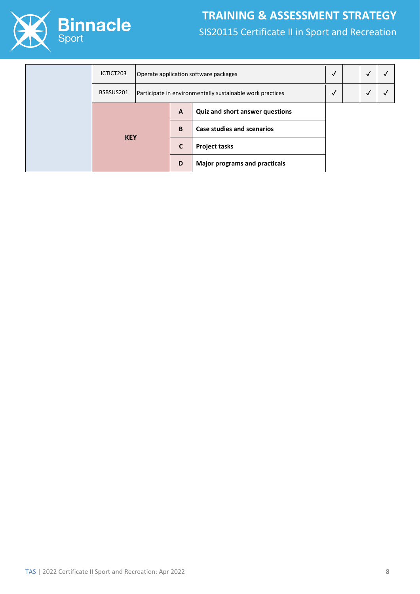

|  | ICTICT203  |                                                           |              | Operate application software packages  |              | √ |  |
|--|------------|-----------------------------------------------------------|--------------|----------------------------------------|--------------|---|--|
|  | BSBSUS201  | Participate in environmentally sustainable work practices |              | √                                      | $\checkmark$ |   |  |
|  | <b>KEY</b> |                                                           | $\mathbf{A}$ | <b>Quiz and short answer questions</b> |              |   |  |
|  |            |                                                           | B            | <b>Case studies and scenarios</b>      |              |   |  |
|  |            |                                                           | C            | <b>Project tasks</b>                   |              |   |  |
|  |            |                                                           | D            | <b>Major programs and practicals</b>   |              |   |  |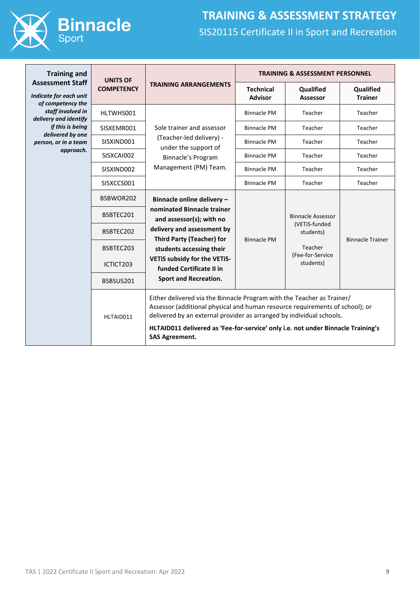

| <b>Training and</b>                                                    | <b>UNITS OF</b>   |                                                                                                                                                                                                                                                                                                                                             |                                    | <b>TRAINING &amp; ASSESSMENT PERSONNEL</b>                                                         |                             |  |
|------------------------------------------------------------------------|-------------------|---------------------------------------------------------------------------------------------------------------------------------------------------------------------------------------------------------------------------------------------------------------------------------------------------------------------------------------------|------------------------------------|----------------------------------------------------------------------------------------------------|-----------------------------|--|
| <b>Assessment Staff</b><br>Indicate for each unit<br>of competency the | <b>COMPETENCY</b> | <b>TRAINING ARRANGEMENTS</b>                                                                                                                                                                                                                                                                                                                | <b>Technical</b><br><b>Advisor</b> | <b>Qualified</b><br><b>Assessor</b>                                                                | Qualified<br><b>Trainer</b> |  |
| staff involved in<br>delivery and identify                             | HLTWHS001         |                                                                                                                                                                                                                                                                                                                                             | <b>Binnacle PM</b>                 | Teacher                                                                                            | Teacher                     |  |
| if this is being<br>delivered by one                                   | SISXEMR001        | Sole trainer and assessor                                                                                                                                                                                                                                                                                                                   | <b>Binnacle PM</b>                 | Teacher                                                                                            | Teacher                     |  |
| person, or in a team                                                   | SISXIND001        | (Teacher-led delivery) -<br>under the support of                                                                                                                                                                                                                                                                                            | Binnacle PM                        | Teacher                                                                                            | Teacher                     |  |
| approach.                                                              | SISXCAI002        | Binnacle's Program                                                                                                                                                                                                                                                                                                                          | <b>Binnacle PM</b>                 | Teacher                                                                                            | Teacher                     |  |
|                                                                        | SISXIND002        | Management (PM) Team.                                                                                                                                                                                                                                                                                                                       | <b>Binnacle PM</b>                 | Teacher                                                                                            | Teacher                     |  |
|                                                                        | SISXCCS001        |                                                                                                                                                                                                                                                                                                                                             | <b>Binnacle PM</b>                 | Teacher                                                                                            | Teacher                     |  |
|                                                                        | BSBWOR202         | Binnacle online delivery -<br>nominated Binnacle trainer<br>and assessor(s); with no<br>delivery and assessment by<br><b>Third Party (Teacher) for</b><br>students accessing their<br>VETIS subsidy for the VETIS-<br>funded Certificate II in<br><b>Sport and Recreation.</b>                                                              |                                    |                                                                                                    |                             |  |
|                                                                        | BSBTEC201         |                                                                                                                                                                                                                                                                                                                                             |                                    | <b>Binnacle Assessor</b><br>(VETiS-funded<br>students)<br>Teacher<br>(Fee-for-Service<br>students) | <b>Binnacle Trainer</b>     |  |
|                                                                        | BSBTEC202         |                                                                                                                                                                                                                                                                                                                                             | <b>Binnacle PM</b>                 |                                                                                                    |                             |  |
|                                                                        | BSBTEC203         |                                                                                                                                                                                                                                                                                                                                             |                                    |                                                                                                    |                             |  |
|                                                                        | ICTICT203         |                                                                                                                                                                                                                                                                                                                                             |                                    |                                                                                                    |                             |  |
|                                                                        | BSBSUS201         |                                                                                                                                                                                                                                                                                                                                             |                                    |                                                                                                    |                             |  |
|                                                                        | HLTAID011         | Either delivered via the Binnacle Program with the Teacher as Trainer/<br>Assessor (additional physical and human resource requirements of school); or<br>delivered by an external provider as arranged by individual schools.<br>HLTAID011 delivered as 'Fee-for-service' only i.e. not under Binnacle Training's<br><b>SAS Agreement.</b> |                                    |                                                                                                    |                             |  |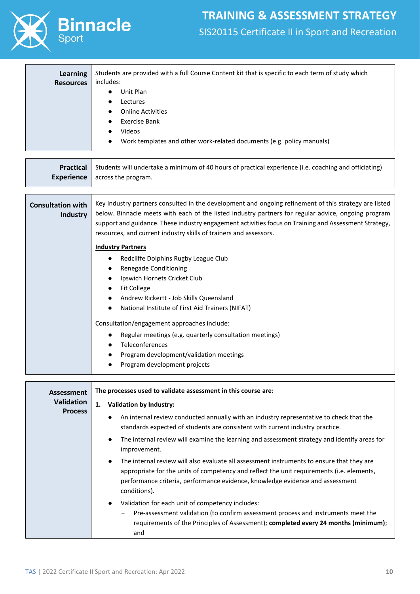

| <b>Learning</b><br><b>Resources</b> | Students are provided with a full Course Content kit that is specific to each term of study which<br>includes: |
|-------------------------------------|----------------------------------------------------------------------------------------------------------------|
|                                     | Unit Plan<br>$\bullet$                                                                                         |
|                                     | Lectures                                                                                                       |
|                                     | <b>Online Activities</b><br>$\bullet$                                                                          |
|                                     | Exercise Bank                                                                                                  |
|                                     | Videos                                                                                                         |
|                                     | Work templates and other work-related documents (e.g. policy manuals)<br>$\bullet$                             |

| <b>Practical</b><br><b>Experience</b>       | Students will undertake a minimum of 40 hours of practical experience (i.e. coaching and officiating)<br>across the program.                                                                                                                                                                                                                                                                                                                           |  |  |
|---------------------------------------------|--------------------------------------------------------------------------------------------------------------------------------------------------------------------------------------------------------------------------------------------------------------------------------------------------------------------------------------------------------------------------------------------------------------------------------------------------------|--|--|
| <b>Consultation with</b><br><b>Industry</b> | Key industry partners consulted in the development and ongoing refinement of this strategy are listed<br>below. Binnacle meets with each of the listed industry partners for regular advice, ongoing program<br>support and guidance. These industry engagement activities focus on Training and Assessment Strategy,<br>resources, and current industry skills of trainers and assessors.                                                             |  |  |
|                                             | <b>Industry Partners</b><br>Redcliffe Dolphins Rugby League Club<br>Renegade Conditioning<br>Ipswich Hornets Cricket Club<br><b>Fit College</b><br>Andrew Rickertt - Job Skills Queensland<br>National Institute of First Aid Trainers (NIFAT)<br>Consultation/engagement approaches include:<br>Regular meetings (e.g. quarterly consultation meetings)<br>Teleconferences<br>Program development/validation meetings<br>Program development projects |  |  |

| Assessment        | The processes used to validate assessment in this course are:                                                                                                                                                                                                                           |
|-------------------|-----------------------------------------------------------------------------------------------------------------------------------------------------------------------------------------------------------------------------------------------------------------------------------------|
| <b>Validation</b> | 1.<br>Validation by Industry:                                                                                                                                                                                                                                                           |
| <b>Process</b>    | An internal review conducted annually with an industry representative to check that the<br>standards expected of students are consistent with current industry practice.                                                                                                                |
|                   | The internal review will examine the learning and assessment strategy and identify areas for<br>improvement.                                                                                                                                                                            |
|                   | The internal review will also evaluate all assessment instruments to ensure that they are<br>appropriate for the units of competency and reflect the unit requirements (i.e. elements,<br>performance criteria, performance evidence, knowledge evidence and assessment<br>conditions). |
|                   | Validation for each unit of competency includes:<br>$\bullet$<br>Pre-assessment validation (to confirm assessment process and instruments meet the<br>-<br>requirements of the Principles of Assessment); completed every 24 months (minimum);<br>and                                   |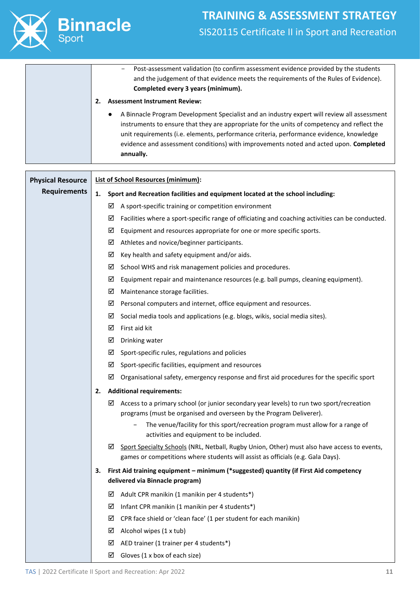

- Post-assessment validation (to confirm assessment evidence provided by the students and the judgement of that evidence meets the requirements of the Rules of Evidence). **Completed every 3 years (minimum). 2. Assessment Instrument Review:** ● A Binnacle Program Development Specialist and an industry expert will review all assessment instruments to ensure that they are appropriate for the units of competency and reflect the unit requirements (i.e. elements, performance criteria, performance evidence, knowledge evidence and assessment conditions) with improvements noted and acted upon. **Completed annually.**

| <b>Physical Resource</b> | <b>List of School Resources (minimum):</b>                                                                                                                                          |  |  |
|--------------------------|-------------------------------------------------------------------------------------------------------------------------------------------------------------------------------------|--|--|
| <b>Requirements</b>      | Sport and Recreation facilities and equipment located at the school including:<br>1.                                                                                                |  |  |
|                          | $\boxtimes$ A sport-specific training or competition environment                                                                                                                    |  |  |
|                          | $\boxtimes$ Facilities where a sport-specific range of officiating and coaching activities can be conducted.                                                                        |  |  |
|                          | Equipment and resources appropriate for one or more specific sports.<br>⊻                                                                                                           |  |  |
|                          | Athletes and novice/beginner participants.<br>☑                                                                                                                                     |  |  |
|                          | Key health and safety equipment and/or aids.<br>☑                                                                                                                                   |  |  |
|                          | ☑<br>School WHS and risk management policies and procedures.                                                                                                                        |  |  |
|                          | ☑<br>Equipment repair and maintenance resources (e.g. ball pumps, cleaning equipment).                                                                                              |  |  |
|                          | ☑<br>Maintenance storage facilities.                                                                                                                                                |  |  |
|                          | Personal computers and internet, office equipment and resources.<br>⊻                                                                                                               |  |  |
|                          | Social media tools and applications (e.g. blogs, wikis, social media sites).<br>⊻                                                                                                   |  |  |
|                          | $\boxtimes$ First aid kit                                                                                                                                                           |  |  |
|                          | Drinking water<br>☑                                                                                                                                                                 |  |  |
|                          | $\boxtimes$ Sport-specific rules, regulations and policies                                                                                                                          |  |  |
|                          | $\boxtimes$ Sport-specific facilities, equipment and resources                                                                                                                      |  |  |
|                          | Organisational safety, emergency response and first aid procedures for the specific sport<br>☑                                                                                      |  |  |
|                          | <b>Additional requirements:</b><br>2.                                                                                                                                               |  |  |
|                          | Access to a primary school (or junior secondary year levels) to run two sport/recreation<br>⊻<br>programs (must be organised and overseen by the Program Deliverer).                |  |  |
|                          | The venue/facility for this sport/recreation program must allow for a range of                                                                                                      |  |  |
|                          | activities and equipment to be included.                                                                                                                                            |  |  |
|                          | ☑<br>Sport Specialty Schools (NRL, Netball, Rugby Union, Other) must also have access to events,<br>games or competitions where students will assist as officials (e.g. Gala Days). |  |  |
|                          | First Aid training equipment - minimum (*suggested) quantity (if First Aid competency<br>З.<br>delivered via Binnacle program)                                                      |  |  |
|                          | Adult CPR manikin (1 manikin per 4 students*)<br>⊻                                                                                                                                  |  |  |
|                          | Infant CPR manikin (1 manikin per 4 students*)<br>⊻                                                                                                                                 |  |  |
|                          | CPR face shield or 'clean face' (1 per student for each manikin)<br>⊻                                                                                                               |  |  |
|                          | Alcohol wipes (1 x tub)<br>⊻                                                                                                                                                        |  |  |
|                          | AED trainer (1 trainer per 4 students*)<br>☑                                                                                                                                        |  |  |
|                          | Gloves (1 x box of each size)<br>☑                                                                                                                                                  |  |  |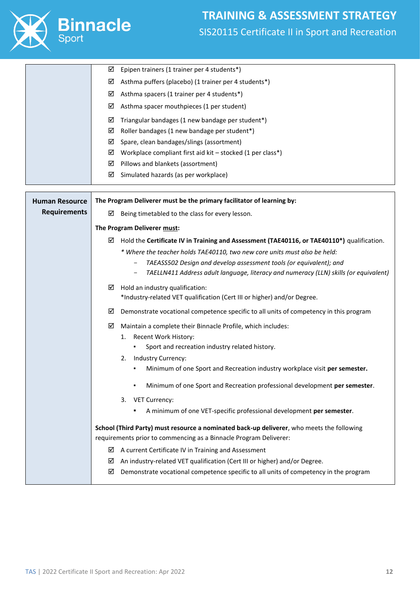

|                       | ☑<br>Epipen trainers (1 trainer per 4 students*)                                                |
|-----------------------|-------------------------------------------------------------------------------------------------|
|                       | Asthma puffers (placebo) (1 trainer per 4 students*)<br>☑                                       |
|                       | ☑<br>Asthma spacers (1 trainer per 4 students*)                                                 |
|                       | Asthma spacer mouthpieces (1 per student)<br>⊻                                                  |
|                       | ☑<br>Triangular bandages (1 new bandage per student*)                                           |
|                       | Roller bandages (1 new bandage per student*)<br>☑                                               |
|                       | Spare, clean bandages/slings (assortment)<br>⊻                                                  |
|                       | $\boxtimes$ Workplace compliant first aid kit – stocked (1 per class*)                          |
|                       | Pillows and blankets (assortment)<br>⊻                                                          |
|                       | Simulated hazards (as per workplace)<br>☑                                                       |
|                       |                                                                                                 |
| <b>Human Resource</b> | The Program Deliverer must be the primary facilitator of learning by:                           |
| <b>Requirements</b>   | Being timetabled to the class for every lesson.<br>☑                                            |
|                       | The Program Deliverer must:                                                                     |
|                       | Hold the Certificate IV in Training and Assessment (TAE40116, or TAE40110*) qualification.<br>⊻ |
|                       | * Where the teacher holds TAE40110, two new core units must also be held:                       |
|                       | TAEASS502 Design and develop assessment tools (or equivalent); and                              |
|                       | TAELLN411 Address adult language, literacy and numeracy (LLN) skills (or equivalent)<br>-       |
|                       | Hold an industry qualification:<br>☑                                                            |
|                       | *Industry-related VET qualification (Cert III or higher) and/or Degree.                         |
|                       | Demonstrate vocational competence specific to all units of competency in this program<br>⊻      |
|                       | Maintain a complete their Binnacle Profile, which includes:<br>☑                                |
|                       | 1. Recent Work History:                                                                         |
|                       | Sport and recreation industry related history.                                                  |
|                       | Industry Currency:<br>2.                                                                        |
|                       | Minimum of one Sport and Recreation industry workplace visit per semester.                      |
|                       | Minimum of one Sport and Recreation professional development per semester.                      |
|                       | <b>VET Currency:</b><br>3.                                                                      |
|                       | A minimum of one VET-specific professional development per semester.<br>٠                       |
|                       | School (Third Party) must resource a nominated back-up deliverer, who meets the following       |
|                       | requirements prior to commencing as a Binnacle Program Deliverer:                               |
|                       | A current Certificate IV in Training and Assessment<br>⊻                                        |
|                       | An industry-related VET qualification (Cert III or higher) and/or Degree.<br>⊻                  |
|                       | Demonstrate vocational competence specific to all units of competency in the program<br>⊻       |
|                       |                                                                                                 |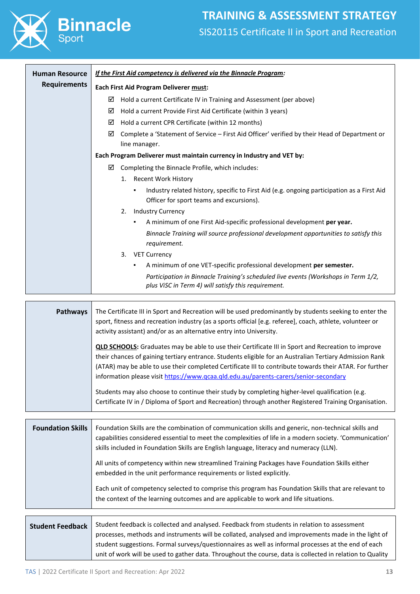

| <b>Human Resource</b> | If the First Aid competency is delivered via the Binnacle Program:                                                                        |  |  |
|-----------------------|-------------------------------------------------------------------------------------------------------------------------------------------|--|--|
| <b>Requirements</b>   | Each First Aid Program Deliverer must:                                                                                                    |  |  |
|                       | ☑<br>Hold a current Certificate IV in Training and Assessment (per above)                                                                 |  |  |
|                       | ☑<br>Hold a current Provide First Aid Certificate (within 3 years)                                                                        |  |  |
|                       | ☑<br>Hold a current CPR Certificate (within 12 months)                                                                                    |  |  |
|                       | Complete a 'Statement of Service - First Aid Officer' verified by their Head of Department or<br>☑                                        |  |  |
|                       | line manager.                                                                                                                             |  |  |
|                       | Each Program Deliverer must maintain currency in Industry and VET by:                                                                     |  |  |
|                       | ☑<br>Completing the Binnacle Profile, which includes:                                                                                     |  |  |
|                       | <b>Recent Work History</b><br>1.                                                                                                          |  |  |
|                       | Industry related history, specific to First Aid (e.g. ongoing participation as a First Aid<br>Officer for sport teams and excursions).    |  |  |
|                       | <b>Industry Currency</b><br>2.                                                                                                            |  |  |
|                       | A minimum of one First Aid-specific professional development per year.<br>٠                                                               |  |  |
|                       | Binnacle Training will source professional development opportunities to satisfy this<br>requirement.                                      |  |  |
|                       | <b>VET Currency</b><br>3.                                                                                                                 |  |  |
|                       | A minimum of one VET-specific professional development per semester.<br>٠                                                                 |  |  |
|                       | Participation in Binnacle Training's scheduled live events (Workshops in Term 1/2,<br>plus ViSC in Term 4) will satisfy this requirement. |  |  |
|                       |                                                                                                                                           |  |  |

| <b>Pathways</b> | The Certificate III in Sport and Recreation will be used predominantly by students seeking to enter the<br>sport, fitness and recreation industry (as a sports official [e.g. referee], coach, athlete, volunteer or<br>activity assistant) and/or as an alternative entry into University.                                     |
|-----------------|---------------------------------------------------------------------------------------------------------------------------------------------------------------------------------------------------------------------------------------------------------------------------------------------------------------------------------|
|                 | <b>QLD SCHOOLS:</b> Graduates may be able to use their Certificate III in Sport and Recreation to improve<br>their chances of gaining tertiary entrance. Students eligible for an Australian Tertiary Admission Rank<br>(ATAR) may be able to use their completed Certificate III to contribute towards their ATAR. For further |
|                 | information please visit https://www.qcaa.qld.edu.au/parents-carers/senior-secondary                                                                                                                                                                                                                                            |
|                 | Students may also choose to continue their study by completing higher-level qualification (e.g.<br>Certificate IV in / Diploma of Sport and Recreation) through another Registered Training Organisation.                                                                                                                       |

| <b>Foundation Skills</b> | Foundation Skills are the combination of communication skills and generic, non-technical skills and<br>capabilities considered essential to meet the complexities of life in a modern society. 'Communication'<br>skills included in Foundation Skills are English language, literacy and numeracy (LLN). |
|--------------------------|-----------------------------------------------------------------------------------------------------------------------------------------------------------------------------------------------------------------------------------------------------------------------------------------------------------|
|                          | All units of competency within new streamlined Training Packages have Foundation Skills either<br>embedded in the unit performance requirements or listed explicitly.                                                                                                                                     |
|                          | Each unit of competency selected to comprise this program has Foundation Skills that are relevant to<br>the context of the learning outcomes and are applicable to work and life situations.                                                                                                              |

**Student Feedback** Student feedback is collected and analysed. Feedback from students in relation to assessment processes, methods and instruments will be collated, analysed and improvements made in the light of student suggestions. Formal surveys/questionnaires as well as informal processes at the end of each unit of work will be used to gather data. Throughout the course, data is collected in relation to Quality